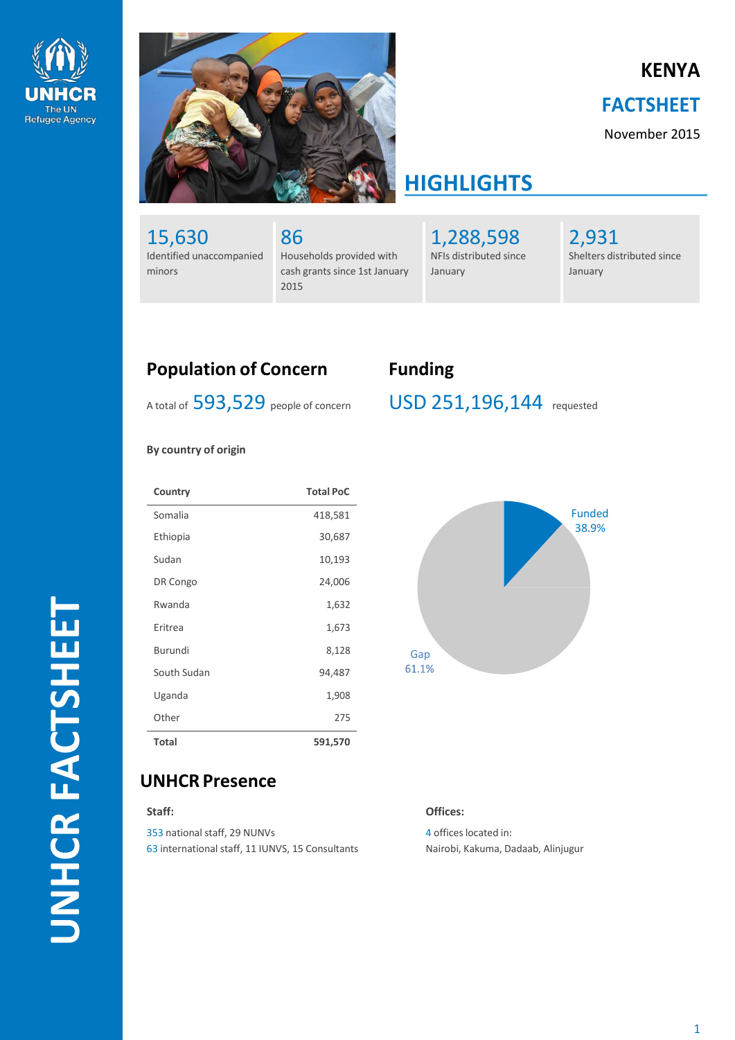



# **KENYA**

### **FACTSHEET**

November 2015

# **HIGHLIGHTS**

15,630 Identified unaccompanied minors

86 Households provided with cash grants since 1st January 2015

1,288,598 NFIs distributed since January

2,931 Shelters distributed since January

## **Population of Concern Funding**

A total of 593,529 people of concern

USD 251,196,144 requested

#### **By country of origin**

| Country      | <b>Total PoC</b> |
|--------------|------------------|
| Somalia      | 418,581          |
| Ethiopia     | 30,687           |
| Sudan        | 10,193           |
| DR Congo     | 24,006           |
| Rwanda       | 1,632            |
| Fritrea      | 1,673            |
| Burundi      | 8,128            |
| South Sudan  | 94,487           |
| Uganda       | 1,908            |
| Other        | 275              |
| <b>Total</b> | 591,570          |



### **UNHCR Presence**

**Staff:**

353 national staff, 29 NUNVs 63 international staff, 11 IUNVS, 15 Consultants **Offices:**

4 offices located in: Nairobi, Kakuma, Dadaab, Alinjugur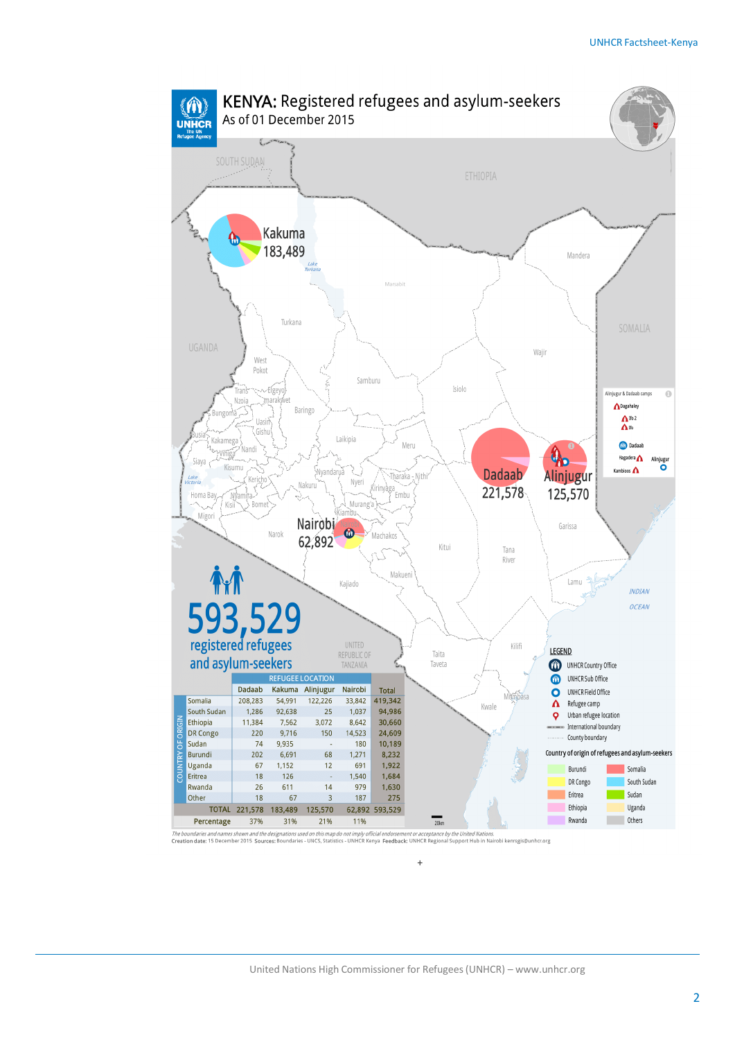

The boundaries and names shown and the designations used on this map do not imply official endorsement or acceptance by the United Nations.<br>Creation date: 15 December 2015 Sources: Boundaries - UNCS, Statistics - UNHCR Ken

+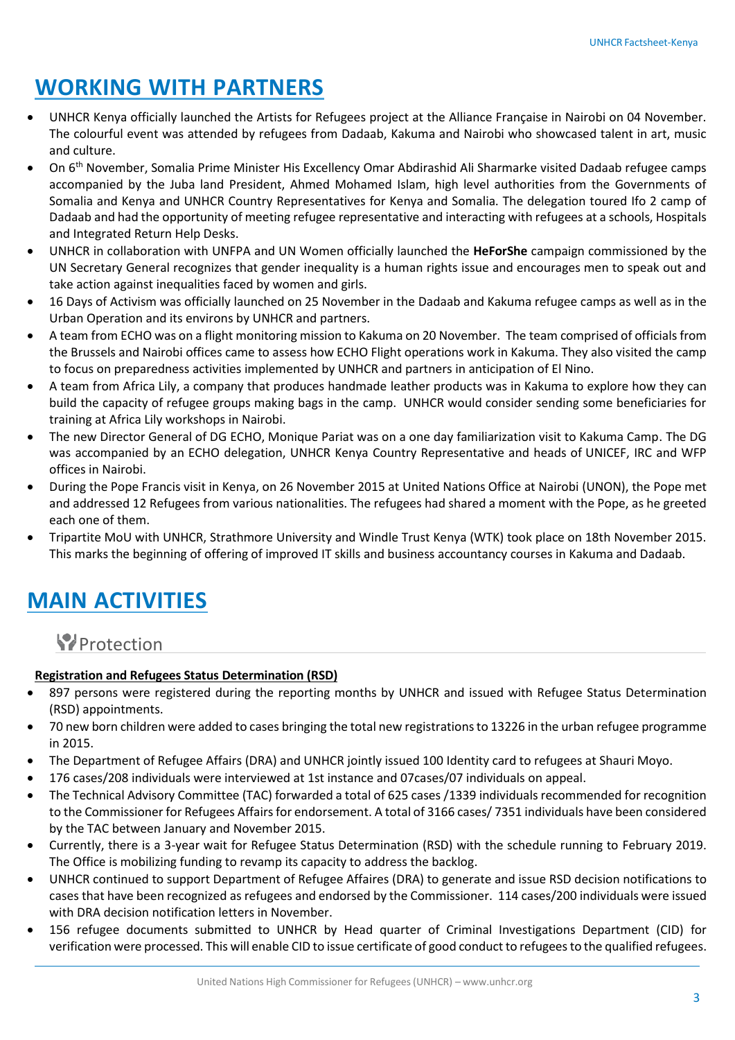# **WORKING WITH PARTNERS**

- UNHCR Kenya officially launched the Artists for Refugees project at the Alliance Française in Nairobi on 04 November. The colourful event was attended by refugees from Dadaab, Kakuma and Nairobi who showcased talent in art, music and culture.
- On 6th November, Somalia Prime Minister His Excellency Omar Abdirashid Ali Sharmarke visited Dadaab refugee camps accompanied by the Juba land President, Ahmed Mohamed Islam, high level authorities from the Governments of Somalia and Kenya and UNHCR Country Representatives for Kenya and Somalia. The delegation toured Ifo 2 camp of Dadaab and had the opportunity of meeting refugee representative and interacting with refugees at a schools, Hospitals and Integrated Return Help Desks.
- UNHCR in collaboration with UNFPA and UN Women officially launched the **HeForShe** campaign commissioned by the UN Secretary General recognizes that gender inequality is a human rights issue and encourages men to speak out and take action against inequalities faced by women and girls.
- 16 Days of Activism was officially launched on 25 November in the Dadaab and Kakuma refugee camps as well as in the Urban Operation and its environs by UNHCR and partners.
- A team from ECHO was on a flight monitoring mission to Kakuma on 20 November. The team comprised of officials from the Brussels and Nairobi offices came to assess how ECHO Flight operations work in Kakuma. They also visited the camp to focus on preparedness activities implemented by UNHCR and partners in anticipation of El Nino.
- A team from Africa Lily, a company that produces handmade leather products was in Kakuma to explore how they can build the capacity of refugee groups making bags in the camp. UNHCR would consider sending some beneficiaries for training at Africa Lily workshops in Nairobi.
- The new Director General of DG ECHO, Monique Pariat was on a one day familiarization visit to Kakuma Camp. The DG was accompanied by an ECHO delegation, UNHCR Kenya Country Representative and heads of UNICEF, IRC and WFP offices in Nairobi.
- During the Pope Francis visit in Kenya, on 26 November 2015 at United Nations Office at Nairobi (UNON), the Pope met and addressed 12 Refugees from various nationalities. The refugees had shared a moment with the Pope, as he greeted each one of them.
- Tripartite MoU with UNHCR, Strathmore University and Windle Trust Kenya (WTK) took place on 18th November 2015. This marks the beginning of offering of improved IT skills and business accountancy courses in Kakuma and Dadaab.

# **MAIN ACTIVITIES**

# **Protection**

### **Registration and Refugees Status Determination (RSD)**

- 897 persons were registered during the reporting months by UNHCR and issued with Refugee Status Determination (RSD) appointments.
- 70 new born children were added to cases bringing the total new registrations to 13226 in the urban refugee programme in 2015.
- The Department of Refugee Affairs (DRA) and UNHCR jointly issued 100 Identity card to refugees at Shauri Moyo.
- 176 cases/208 individuals were interviewed at 1st instance and 07cases/07 individuals on appeal.
- The Technical Advisory Committee (TAC) forwarded a total of 625 cases /1339 individuals recommended for recognition to the Commissioner for Refugees Affairs for endorsement. A total of 3166 cases/ 7351 individuals have been considered by the TAC between January and November 2015.
- Currently, there is a 3-year wait for Refugee Status Determination (RSD) with the schedule running to February 2019. The Office is mobilizing funding to revamp its capacity to address the backlog.
- UNHCR continued to support Department of Refugee Affaires (DRA) to generate and issue RSD decision notifications to cases that have been recognized as refugees and endorsed by the Commissioner. 114 cases/200 individuals were issued with DRA decision notification letters in November.
- 156 refugee documents submitted to UNHCR by Head quarter of Criminal Investigations Department (CID) for verification were processed. This will enable CID to issue certificate of good conduct to refugees to the qualified refugees.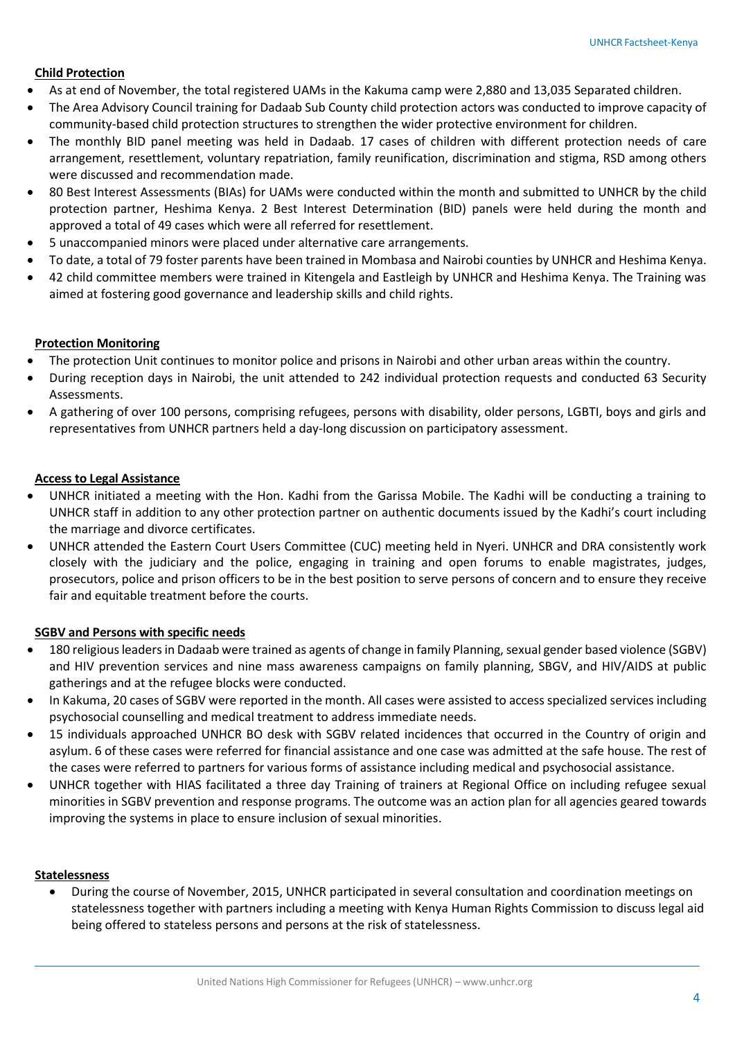#### **Child Protection**

- As at end of November, the total registered UAMs in the Kakuma camp were 2,880 and 13,035 Separated children.
- The Area Advisory Council training for Dadaab Sub County child protection actors was conducted to improve capacity of community-based child protection structures to strengthen the wider protective environment for children.
- The monthly BID panel meeting was held in Dadaab. 17 cases of children with different protection needs of care arrangement, resettlement, voluntary repatriation, family reunification, discrimination and stigma, RSD among others were discussed and recommendation made.
- 80 Best Interest Assessments (BIAs) for UAMs were conducted within the month and submitted to UNHCR by the child protection partner, Heshima Kenya. 2 Best Interest Determination (BID) panels were held during the month and approved a total of 49 cases which were all referred for resettlement.
- 5 unaccompanied minors were placed under alternative care arrangements.
- To date, a total of 79 foster parents have been trained in Mombasa and Nairobi counties by UNHCR and Heshima Kenya.
- 42 child committee members were trained in Kitengela and Eastleigh by UNHCR and Heshima Kenya. The Training was aimed at fostering good governance and leadership skills and child rights.

#### **Protection Monitoring**

- The protection Unit continues to monitor police and prisons in Nairobi and other urban areas within the country.
- During reception days in Nairobi, the unit attended to 242 individual protection requests and conducted 63 Security Assessments.
- A gathering of over 100 persons, comprising refugees, persons with disability, older persons, LGBTI, boys and girls and representatives from UNHCR partners held a day-long discussion on participatory assessment.

#### **Access to Legal Assistance**

- UNHCR initiated a meeting with the Hon. Kadhi from the Garissa Mobile. The Kadhi will be conducting a training to UNHCR staff in addition to any other protection partner on authentic documents issued by the Kadhi's court including the marriage and divorce certificates.
- UNHCR attended the Eastern Court Users Committee (CUC) meeting held in Nyeri. UNHCR and DRA consistently work closely with the judiciary and the police, engaging in training and open forums to enable magistrates, judges, prosecutors, police and prison officers to be in the best position to serve persons of concern and to ensure they receive fair and equitable treatment before the courts.

#### **SGBV and Persons with specific needs**

- 180 religious leaders in Dadaab were trained as agents of change in family Planning, sexual gender based violence (SGBV) and HIV prevention services and nine mass awareness campaigns on family planning, SBGV, and HIV/AIDS at public gatherings and at the refugee blocks were conducted.
- In Kakuma, 20 cases of SGBV were reported in the month. All cases were assisted to access specialized services including psychosocial counselling and medical treatment to address immediate needs.
- 15 individuals approached UNHCR BO desk with SGBV related incidences that occurred in the Country of origin and asylum. 6 of these cases were referred for financial assistance and one case was admitted at the safe house. The rest of the cases were referred to partners for various forms of assistance including medical and psychosocial assistance.
- UNHCR together with HIAS facilitated a three day Training of trainers at Regional Office on including refugee sexual minorities in SGBV prevention and response programs. The outcome was an action plan for all agencies geared towards improving the systems in place to ensure inclusion of sexual minorities.

#### **Statelessness**

 During the course of November, 2015, UNHCR participated in several consultation and coordination meetings on statelessness together with partners including a meeting with Kenya Human Rights Commission to discuss legal aid being offered to stateless persons and persons at the risk of statelessness.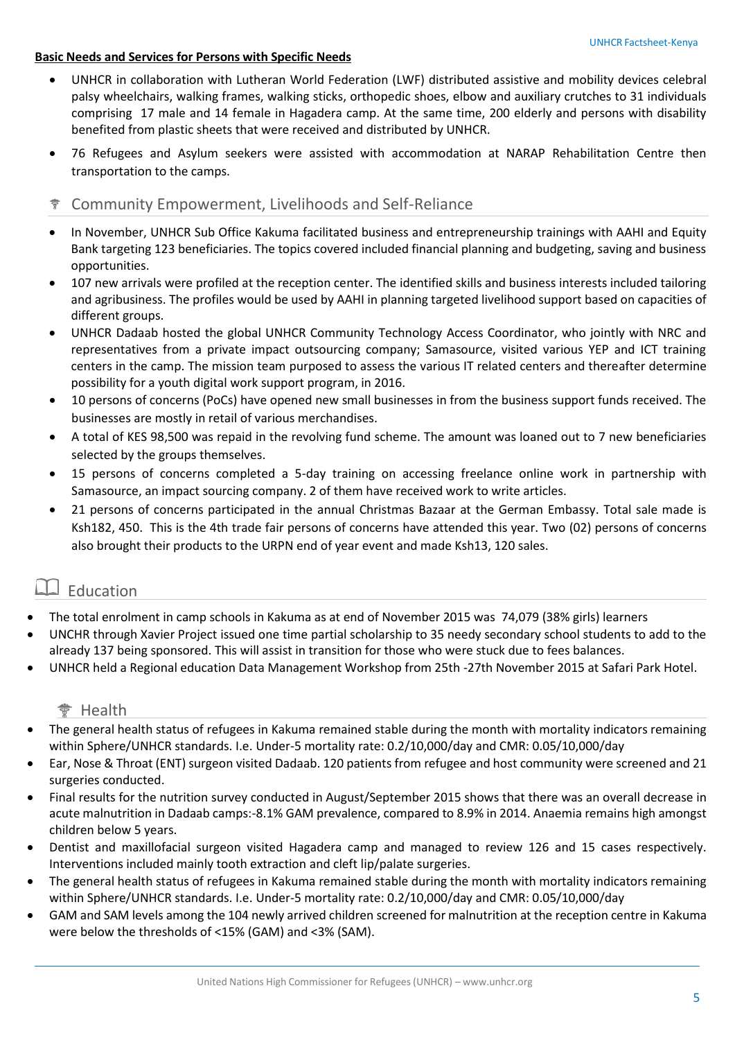#### **Basic Needs and Services for Persons with Specific Needs**

- UNHCR in collaboration with Lutheran World Federation (LWF) distributed assistive and mobility devices celebral palsy wheelchairs, walking frames, walking sticks, orthopedic shoes, elbow and auxiliary crutches to 31 individuals comprising 17 male and 14 female in Hagadera camp. At the same time, 200 elderly and persons with disability benefited from plastic sheets that were received and distributed by UNHCR.
- 76 Refugees and Asylum seekers were assisted with accommodation at NARAP Rehabilitation Centre then transportation to the camps.
- Community Empowerment, Livelihoods and Self-Reliance
- In November, UNHCR Sub Office Kakuma facilitated business and entrepreneurship trainings with AAHI and Equity Bank targeting 123 beneficiaries. The topics covered included financial planning and budgeting, saving and business opportunities.
- 107 new arrivals were profiled at the reception center. The identified skills and business interests included tailoring and agribusiness. The profiles would be used by AAHI in planning targeted livelihood support based on capacities of different groups.
- UNHCR Dadaab hosted the global UNHCR Community Technology Access Coordinator, who jointly with NRC and representatives from a private impact outsourcing company; Samasource, visited various YEP and ICT training centers in the camp. The mission team purposed to assess the various IT related centers and thereafter determine possibility for a youth digital work support program, in 2016.
- 10 persons of concerns (PoCs) have opened new small businesses in from the business support funds received. The businesses are mostly in retail of various merchandises.
- A total of KES 98,500 was repaid in the revolving fund scheme. The amount was loaned out to 7 new beneficiaries selected by the groups themselves.
- 15 persons of concerns completed a 5-day training on accessing freelance online work in partnership with Samasource, an impact sourcing company. 2 of them have received work to write articles.
- 21 persons of concerns participated in the annual Christmas Bazaar at the German Embassy. Total sale made is Ksh182, 450. This is the 4th trade fair persons of concerns have attended this year. Two (02) persons of concerns also brought their products to the URPN end of year event and made Ksh13, 120 sales.

### Education

- The total enrolment in camp schools in Kakuma as at end of November 2015 was 74,079 (38% girls) learners
- UNCHR through Xavier Project issued one time partial scholarship to 35 needy secondary school students to add to the already 137 being sponsored. This will assist in transition for those who were stuck due to fees balances.
- UNHCR held a Regional education Data Management Workshop from 25th -27th November 2015 at Safari Park Hotel.

#### † Health

- The general health status of refugees in Kakuma remained stable during the month with mortality indicators remaining within Sphere/UNHCR standards. I.e. Under-5 mortality rate: 0.2/10,000/day and CMR: 0.05/10,000/day
- Ear, Nose & Throat (ENT) surgeon visited Dadaab. 120 patients from refugee and host community were screened and 21 surgeries conducted.
- Final results for the nutrition survey conducted in August/September 2015 shows that there was an overall decrease in acute malnutrition in Dadaab camps:-8.1% GAM prevalence, compared to 8.9% in 2014. Anaemia remains high amongst children below 5 years.
- Dentist and maxillofacial surgeon visited Hagadera camp and managed to review 126 and 15 cases respectively. Interventions included mainly tooth extraction and cleft lip/palate surgeries.
- The general health status of refugees in Kakuma remained stable during the month with mortality indicators remaining within Sphere/UNHCR standards. I.e. Under-5 mortality rate: 0.2/10,000/day and CMR: 0.05/10,000/day
- GAM and SAM levels among the 104 newly arrived children screened for malnutrition at the reception centre in Kakuma were below the thresholds of <15% (GAM) and <3% (SAM).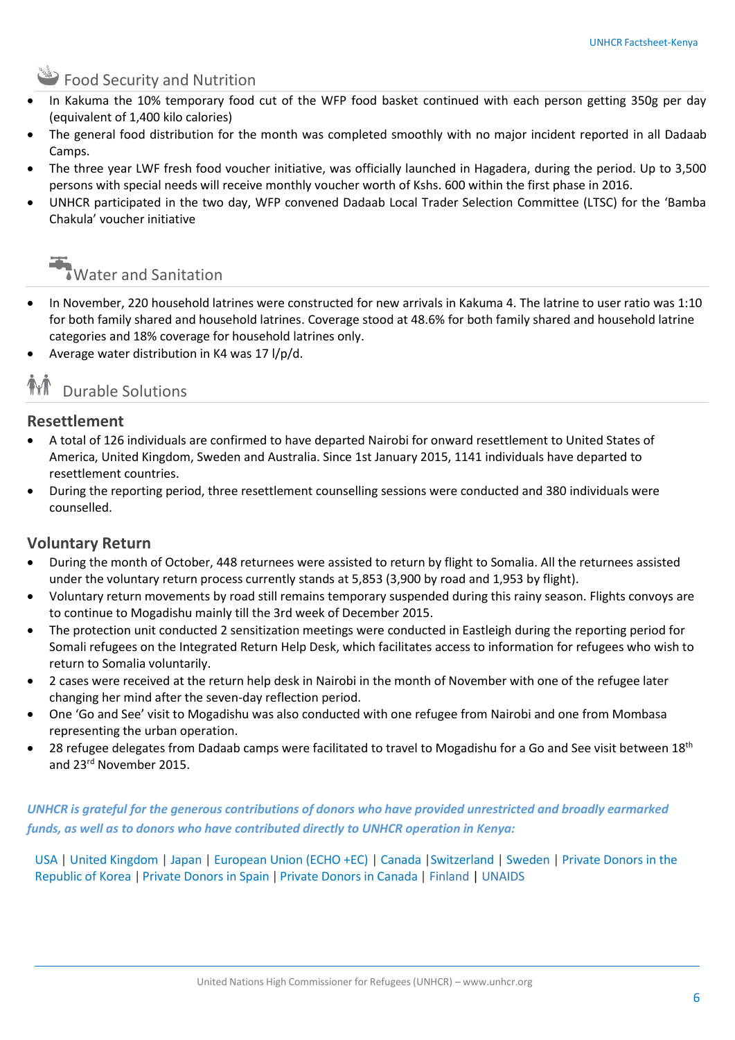## **SAP Food Security and Nutrition**

- In Kakuma the 10% temporary food cut of the WFP food basket continued with each person getting 350g per day (equivalent of 1,400 kilo calories)
- The general food distribution for the month was completed smoothly with no major incident reported in all Dadaab Camps.
- The three year LWF fresh food voucher initiative, was officially launched in Hagadera, during the period. Up to 3,500 persons with special needs will receive monthly voucher worth of Kshs. 600 within the first phase in 2016.
- UNHCR participated in the two day, WFP convened Dadaab Local Trader Selection Committee (LTSC) for the 'Bamba Chakula' voucher initiative



- In November, 220 household latrines were constructed for new arrivals in Kakuma 4. The latrine to user ratio was 1:10 for both family shared and household latrines. Coverage stood at 48.6% for both family shared and household latrine categories and 18% coverage for household latrines only.
- Average water distribution in K4 was 17 l/p/d.

# Durable Solutions

### **Resettlement**

- A total of 126 individuals are confirmed to have departed Nairobi for onward resettlement to United States of America, United Kingdom, Sweden and Australia. Since 1st January 2015, 1141 individuals have departed to resettlement countries.
- During the reporting period, three resettlement counselling sessions were conducted and 380 individuals were counselled.

#### **Voluntary Return**

- During the month of October, 448 returnees were assisted to return by flight to Somalia. All the returnees assisted under the voluntary return process currently stands at 5,853 (3,900 by road and 1,953 by flight).
- Voluntary return movements by road still remains temporary suspended during this rainy season. Flights convoys are to continue to Mogadishu mainly till the 3rd week of December 2015.
- The protection unit conducted 2 sensitization meetings were conducted in Eastleigh during the reporting period for Somali refugees on the Integrated Return Help Desk, which facilitates access to information for refugees who wish to return to Somalia voluntarily.
- 2 cases were received at the return help desk in Nairobi in the month of November with one of the refugee later changing her mind after the seven-day reflection period.
- One 'Go and See' visit to Mogadishu was also conducted with one refugee from Nairobi and one from Mombasa representing the urban operation.
- 28 refugee delegates from Dadaab camps were facilitated to travel to Mogadishu for a Go and See visit between 18<sup>th</sup> and 23rd November 2015.

*UNHCR is grateful for the generous contributions of donors who have provided unrestricted and broadly earmarked funds, as well as to donors who have contributed directly to UNHCR operation in Kenya:*

USA | United Kingdom | Japan | European Union (ECHO +EC) | Canada |Switzerland | Sweden | Private Donors in the Republic of Korea | Private Donors in Spain | Private Donors in Canada | Finland | UNAIDS